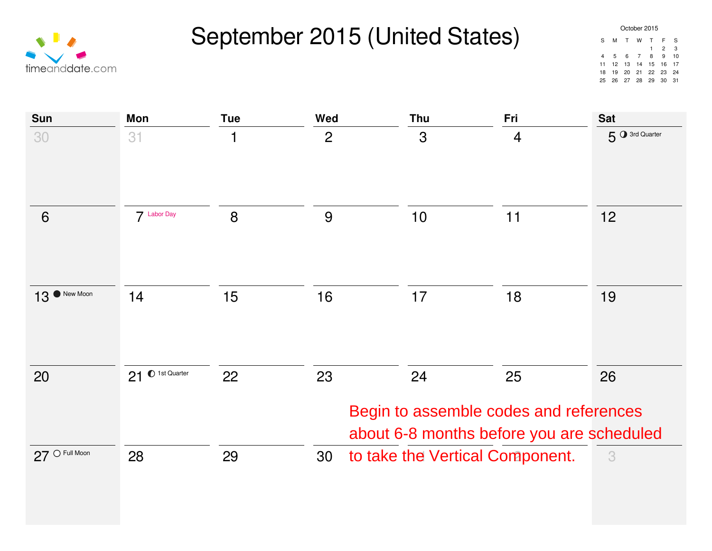September 2015 (United States)



| October 2015 |     |                 |   |                        |                |      |  |  |  |
|--------------|-----|-----------------|---|------------------------|----------------|------|--|--|--|
| S.           | м   | <b>T</b>        | w | $\top$                 | F              | S    |  |  |  |
|              |     |                 |   | $\mathbf{1}$           | $\overline{2}$ | 3    |  |  |  |
| 4            | - 5 | $6\overline{6}$ | 7 | 8                      | 9              | 10   |  |  |  |
| 11           |     |                 |   | 12  13  14  15  16  17 |                |      |  |  |  |
| 18           |     |                 |   | 19 20 21 22 23         |                | - 24 |  |  |  |
| 25.          |     | 26 27 28 29     |   |                        | 30             | - 31 |  |  |  |

| Sun                      | Mon              | <b>Tue</b> | Wed            | Thu                             | Fri                                                                                       | <b>Sat</b>    |
|--------------------------|------------------|------------|----------------|---------------------------------|-------------------------------------------------------------------------------------------|---------------|
| 30                       | 31               | 1          | $\overline{2}$ | 3                               | $\overline{4}$                                                                            | 5 3rd Quarter |
| 6                        | 7 Labor Day      | 8          | 9              | 10                              | 11                                                                                        | 12            |
| 13 <sup>O</sup> New Moon | 14               | 15         | 16             | 17                              | 18                                                                                        | 19            |
| 20                       | 21 O 1st Quarter | 22         | 23             | 24                              | 25<br>Begin to assemble codes and references<br>about 6-8 months before you are scheduled | 26            |
| $27$ O Full Moon         | 28               | 29         | 30             | to take the Vertical Component. |                                                                                           | 3             |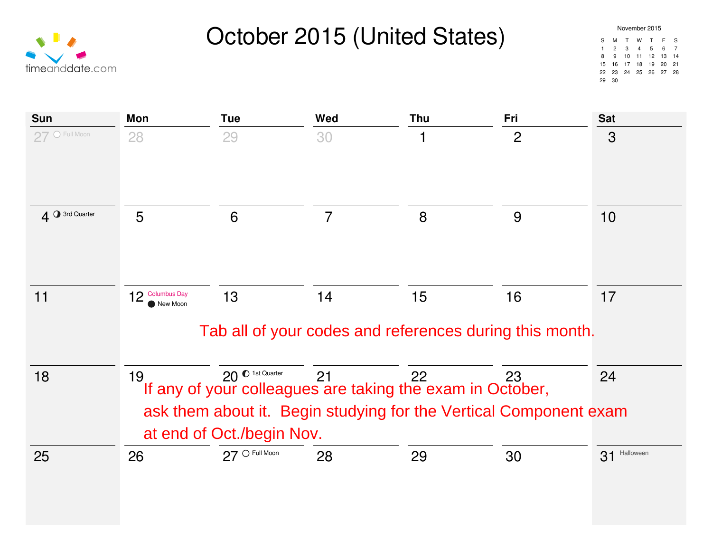



| November 2015 |               |              |   |                      |     |              |  |  |  |
|---------------|---------------|--------------|---|----------------------|-----|--------------|--|--|--|
| S             | м             | T            | w | T                    | - F | $\mathbf{s}$ |  |  |  |
| 1             | $\mathcal{P}$ | $\mathbf{3}$ |   | $4 \quad 5$          | 6   | 7            |  |  |  |
| 8             | 9             |              |   | 10 11 12 13          |     | - 14         |  |  |  |
|               |               |              |   | 15 16 17 18 19 20    |     | 21           |  |  |  |
|               |               |              |   | 22 23 24 25 26 27 28 |     |              |  |  |  |
|               | 30            |              |   |                      |     |              |  |  |  |

| <b>Sun</b>     | Mon                                                                                                                                                                                                                      | <b>Tue</b>       | Wed                                                           | Thu | Fri            | <b>Sat</b>   |  |
|----------------|--------------------------------------------------------------------------------------------------------------------------------------------------------------------------------------------------------------------------|------------------|---------------------------------------------------------------|-----|----------------|--------------|--|
| 27 O Full Moon | 28                                                                                                                                                                                                                       | 29               | 30                                                            | 1   | $\overline{2}$ | 3            |  |
| 4 3rd Quarter  | 5                                                                                                                                                                                                                        | 6                | $\overline{7}$                                                | 8   | 9              | 10           |  |
| 11             | 12 Columbus Day<br>New Moon                                                                                                                                                                                              | 13               | 14<br>Tab all of your codes and references during this month. | 15  | 16             | 17           |  |
| 18             | 20 <sup>0</sup> 1st Quarter<br>21<br>19<br>22<br>23<br>24<br>If any of your colleagues are taking the exam in October,<br>ask them about it. Begin studying for the Vertical Component exam<br>at end of Oct./begin Nov. |                  |                                                               |     |                |              |  |
| 25             | 26                                                                                                                                                                                                                       | $27$ O Full Moon | 28                                                            | 29  | 30             | 31 Halloween |  |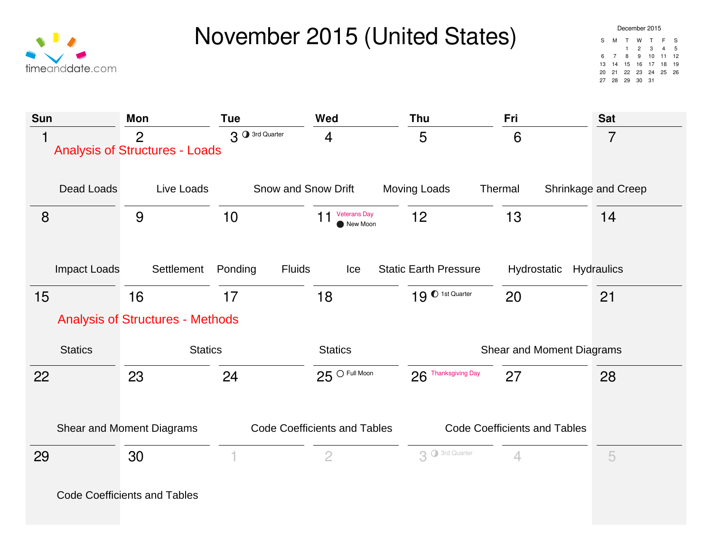

| December 2015 |    |                   |                |    |                |    |  |  |  |
|---------------|----|-------------------|----------------|----|----------------|----|--|--|--|
| S             | м  | т.                | w              | T  | - F            | S  |  |  |  |
|               |    | $\mathbf{1}$      | $\overline{2}$ | 3  | $\overline{4}$ | 5  |  |  |  |
| ĥ             | 7  | 8                 | 9              |    | $10 \quad 11$  | 12 |  |  |  |
| 13            |    | 14 15 16 17 18    |                |    |                | 19 |  |  |  |
| 20            |    | 21 22 23 24 25 26 |                |    |                |    |  |  |  |
| 27            | 28 | 29                | 30             | 31 |                |    |  |  |  |

| <b>Sun</b>          | <b>Mon</b>                                              | <b>Tue</b>               | Wed                                   | Thu                          | Fri                                 | <b>Sat</b>          |
|---------------------|---------------------------------------------------------|--------------------------|---------------------------------------|------------------------------|-------------------------------------|---------------------|
| 1                   | $\overline{2}$<br><b>Analysis of Structures - Loads</b> | 3 3rd Quarter            | $\overline{4}$                        | 5                            | 6                                   | $\overline{7}$      |
| Dead Loads          | Live Loads                                              | Snow and Snow Drift      |                                       | <b>Moving Loads</b>          | Thermal                             | Shrinkage and Creep |
| 8                   | 9                                                       | 10                       | <b>Veterans Day</b><br>11<br>New Moon | 12                           | 13                                  | 14                  |
|                     |                                                         |                          |                                       |                              |                                     |                     |
| <b>Impact Loads</b> | Settlement                                              | <b>Fluids</b><br>Ponding | Ice                                   | <b>Static Earth Pressure</b> | Hydrostatic                         | Hydraulics          |
| 15                  | 16                                                      | 17                       | 18                                    | 19 <sup>0</sup> 1st Quarter  | 20                                  | 21                  |
|                     | <b>Analysis of Structures - Methods</b>                 |                          |                                       |                              |                                     |                     |
| <b>Statics</b>      | <b>Statics</b>                                          |                          | <b>Statics</b>                        |                              | Shear and Moment Diagrams           |                     |
| 22                  | 23                                                      | 24                       | $25^\circ$ Full Moon                  | 26 Thanksgiving Day          | 27                                  | 28                  |
|                     |                                                         |                          |                                       |                              |                                     |                     |
|                     | Shear and Moment Diagrams                               |                          | <b>Code Coefficients and Tables</b>   |                              | <b>Code Coefficients and Tables</b> |                     |
| 29                  | 30                                                      | 1                        | $\overline{2}$                        | 3 O 3rd Quarter              | $\overline{4}$                      | 5                   |
|                     | <b>Code Coefficients and Tables</b>                     |                          |                                       |                              |                                     |                     |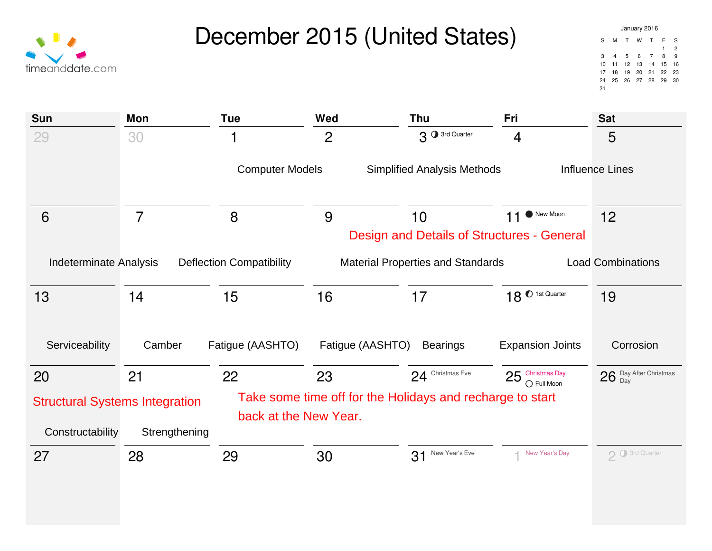



| Sun                                                                                                                                      | <b>Mon</b>     | <b>Tue</b>             | Wed                                                       | Thu                                               | Fri                               | <b>Sat</b>             |
|------------------------------------------------------------------------------------------------------------------------------------------|----------------|------------------------|-----------------------------------------------------------|---------------------------------------------------|-----------------------------------|------------------------|
| 29                                                                                                                                       | 30             | 1                      | $\overline{2}$                                            | 3 <sup>0</sup> 3rd Quarter                        | $\overline{4}$                    | 5                      |
|                                                                                                                                          |                | <b>Computer Models</b> |                                                           | <b>Simplified Analysis Methods</b>                |                                   | <b>Influence Lines</b> |
| 6                                                                                                                                        | $\overline{7}$ | 8                      | 9                                                         | 10                                                | New Moon<br>11                    | 12                     |
|                                                                                                                                          |                |                        |                                                           | <b>Design and Details of Structures - General</b> |                                   |                        |
| <b>Indeterminate Analysis</b><br><b>Deflection Compatibility</b><br><b>Material Properties and Standards</b><br><b>Load Combinations</b> |                |                        |                                                           |                                                   |                                   |                        |
| 13                                                                                                                                       | 14             | 15                     | 16                                                        | 17                                                | 18 <sup>0</sup> 1st Quarter       | 19                     |
| Serviceability                                                                                                                           | Camber         | Fatigue (AASHTO)       | Fatigue (AASHTO)                                          | <b>Bearings</b>                                   | <b>Expansion Joints</b>           | Corrosion              |
| 20                                                                                                                                       | 21             | 22                     | 23                                                        | 24 Christmas Eve                                  | $25$ Christmas Day<br>○ Full Moon | 26 Day After Christmas |
| <b>Structural Systems Integration</b><br>Constructability                                                                                | Strengthening  | back at the New Year.  | Take some time off for the Holidays and recharge to start |                                                   |                                   |                        |
| 27                                                                                                                                       | 28             | 29                     | 30                                                        | 31 New Year's Eve                                 | ← New Year's Day                  | 2 O 3rd Quarter        |
|                                                                                                                                          |                |                        |                                                           |                                                   |                                   |                        |
|                                                                                                                                          |                |                        |                                                           |                                                   |                                   |                        |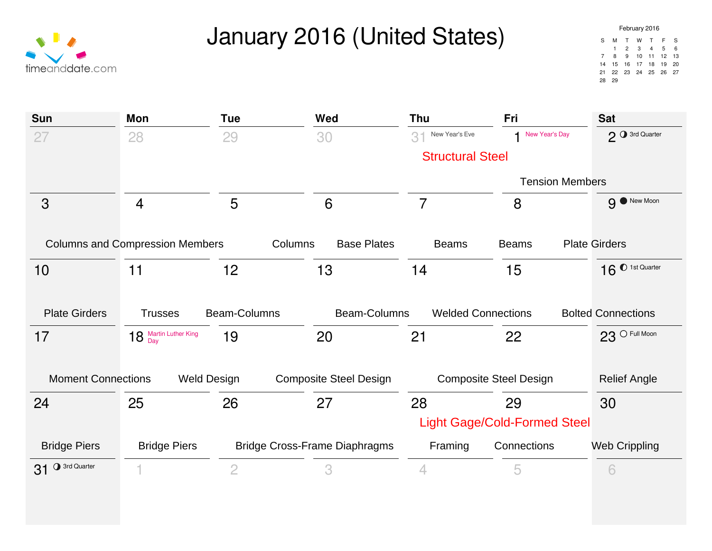January 2016 (United States)

| timeanddate.com |
|-----------------|

| Sun                       | Mon                                    | <b>Tue</b>     | Wed                                  | Thu                           | Fri                                 | <b>Sat</b>                  |
|---------------------------|----------------------------------------|----------------|--------------------------------------|-------------------------------|-------------------------------------|-----------------------------|
| 27                        | 28                                     | 29             | 30                                   | 3 <sup>1</sup> New Year's Eve | New Year's Day<br>1                 | 2 3rd Quarter               |
|                           |                                        |                |                                      | <b>Structural Steel</b>       |                                     |                             |
|                           |                                        |                |                                      |                               | <b>Tension Members</b>              |                             |
| 3                         | $\overline{4}$                         | 5              | 6                                    | $\overline{7}$                | 8                                   | 9 New Moon                  |
|                           | <b>Columns and Compression Members</b> | Columns        | <b>Base Plates</b>                   | <b>Beams</b>                  | <b>Beams</b>                        | <b>Plate Girders</b>        |
| 10                        | 11                                     | 12             | 13                                   | 14                            | 15                                  | 16 <sup>0</sup> 1st Quarter |
|                           |                                        |                |                                      |                               |                                     |                             |
| <b>Plate Girders</b>      | <b>Trusses</b>                         | Beam-Columns   | Beam-Columns                         | <b>Welded Connections</b>     |                                     | <b>Bolted Connections</b>   |
| 17                        | 18 Martin Luther King                  | 19             | 20                                   | 21                            | 22                                  | $23$ O Full Moon            |
|                           |                                        |                |                                      |                               |                                     |                             |
| <b>Moment Connections</b> | <b>Weld Design</b>                     |                | <b>Composite Steel Design</b>        | <b>Composite Steel Design</b> |                                     | <b>Relief Angle</b>         |
| 24                        | 25                                     | 26             | 27                                   | 28                            | 29                                  | 30                          |
|                           |                                        |                |                                      |                               | <b>Light Gage/Cold-Formed Steel</b> |                             |
| <b>Bridge Piers</b>       | <b>Bridge Piers</b>                    |                | <b>Bridge Cross-Frame Diaphragms</b> | Framing                       | Connections                         | <b>Web Crippling</b>        |
| 31 O 3rd Quarter          |                                        | $\overline{2}$ | 3                                    | $\overline{4}$                | 5                                   | 6                           |
|                           |                                        |                |                                      |                               |                                     |                             |
|                           |                                        |                |                                      |                               |                                     |                             |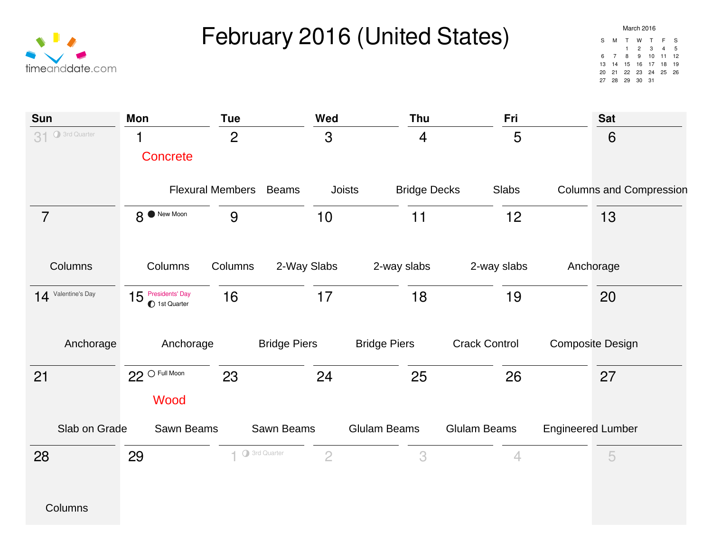February 2016 (United States)



| March 2016 |                |                   |                |          |    |    |  |  |  |
|------------|----------------|-------------------|----------------|----------|----|----|--|--|--|
| S          | м              | T.                | w              | T        | F  | S  |  |  |  |
|            |                | $\mathbf{1}$      | $\overline{2}$ | 3        | 4  | 5  |  |  |  |
| հ          | $\overline{7}$ | 8                 |                | $9 - 10$ | 11 | 12 |  |  |  |
| 13         | 14             | 15 16 17 18       |                |          |    | 19 |  |  |  |
| 20         |                | 21 22 23 24 25 26 |                |          |    |    |  |  |  |
| 27         | 28             | 29                | 30             | 31       |    |    |  |  |  |

| <b>Sun</b>                 | Mon                                 | <b>Tue</b>             | Wed            | Thu                 | Fri                  | <b>Sat</b>                     |
|----------------------------|-------------------------------------|------------------------|----------------|---------------------|----------------------|--------------------------------|
| <b>O</b> 3rd Quarter<br>31 |                                     | $\overline{2}$         | 3              | $\overline{4}$      | 5                    | 6                              |
|                            | Concrete                            |                        |                |                     |                      |                                |
|                            | <b>Flexural Members</b>             | <b>Beams</b>           | <b>Joists</b>  | <b>Bridge Decks</b> | Slabs                | <b>Columns and Compression</b> |
| $\overline{7}$             | 8 <sup>O</sup> New Moon             | 9                      | 10             | 11                  | 12                   | 13                             |
| Columns                    | Columns                             | 2-Way Slabs<br>Columns |                | 2-way slabs         | 2-way slabs          | Anchorage                      |
| 14 Valentine's Day         | $15$ Presidents' Day<br>1st Quarter | 16                     | 17             | 18                  | 19                   | 20                             |
| Anchorage                  | Anchorage                           | <b>Bridge Piers</b>    |                | <b>Bridge Piers</b> | <b>Crack Control</b> | <b>Composite Design</b>        |
| 21                         | $22$ O Full Moon                    | 23                     | 24             | 25                  | 26                   | 27                             |
|                            | Wood                                |                        |                |                     |                      |                                |
| Slab on Grade              | Sawn Beams                          | Sawn Beams             |                | <b>Glulam Beams</b> | <b>Glulam Beams</b>  | <b>Engineered Lumber</b>       |
| 28                         | 29                                  | 1 O 3rd Quarter        | $\overline{2}$ | 3                   | $\overline{4}$       | 5                              |
|                            |                                     |                        |                |                     |                      |                                |
| Columns                    |                                     |                        |                |                     |                      |                                |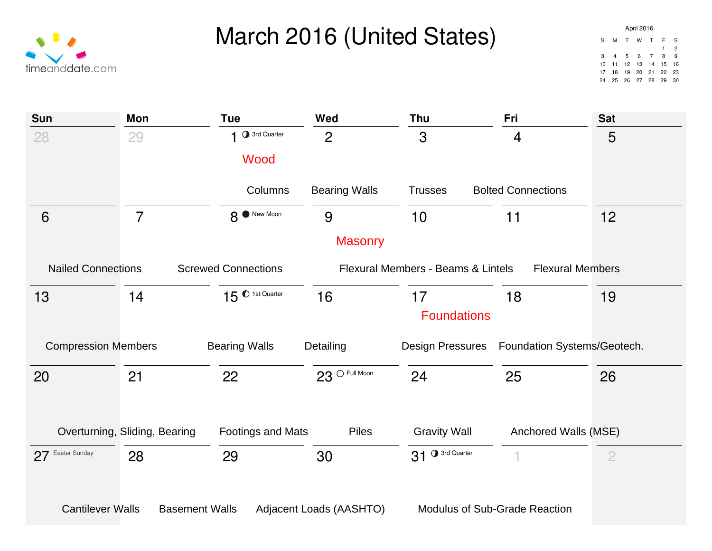

| Sun                        | <b>Mon</b>                    | <b>Tue</b>                 | <b>Wed</b>              | Thu                                  | Fri                         | <b>Sat</b>     |
|----------------------------|-------------------------------|----------------------------|-------------------------|--------------------------------------|-----------------------------|----------------|
| 28                         | 29                            | 3rd Quarter                | $\overline{2}$          | 3                                    | $\overline{4}$              | 5              |
|                            |                               | Wood                       |                         |                                      |                             |                |
|                            |                               | Columns                    | <b>Bearing Walls</b>    | <b>Trusses</b>                       | <b>Bolted Connections</b>   |                |
| 6                          | $\overline{7}$                | 8 <sup>O</sup> New Moon    | 9                       | 10                                   | 11                          | 12             |
|                            |                               |                            | <b>Masonry</b>          |                                      |                             |                |
| <b>Nailed Connections</b>  |                               | <b>Screwed Connections</b> |                         | Flexural Members - Beams & Lintels   | <b>Flexural Members</b>     |                |
| 13                         | 14                            | $15^{\circ}$ 1st Quarter   | 16                      | 17                                   | 18                          | 19             |
|                            |                               |                            |                         | <b>Foundations</b>                   |                             |                |
| <b>Compression Members</b> |                               | <b>Bearing Walls</b>       | Detailing               | <b>Design Pressures</b>              | Foundation Systems/Geotech. |                |
| 20                         | 21                            | 22                         | $23^{\circ}$ Full Moon  | 24                                   | 25                          | 26             |
|                            |                               |                            |                         |                                      |                             |                |
|                            | Overturning, Sliding, Bearing | Footings and Mats          | Piles                   | <b>Gravity Wall</b>                  | Anchored Walls (MSE)        |                |
| 27 Easter Sunday           | 28                            | 29                         | 30                      | 31 O 3rd Quarter                     |                             | $\overline{2}$ |
|                            |                               |                            |                         |                                      |                             |                |
| <b>Cantilever Walls</b>    | <b>Basement Walls</b>         |                            | Adjacent Loads (AASHTO) | <b>Modulus of Sub-Grade Reaction</b> |                             |                |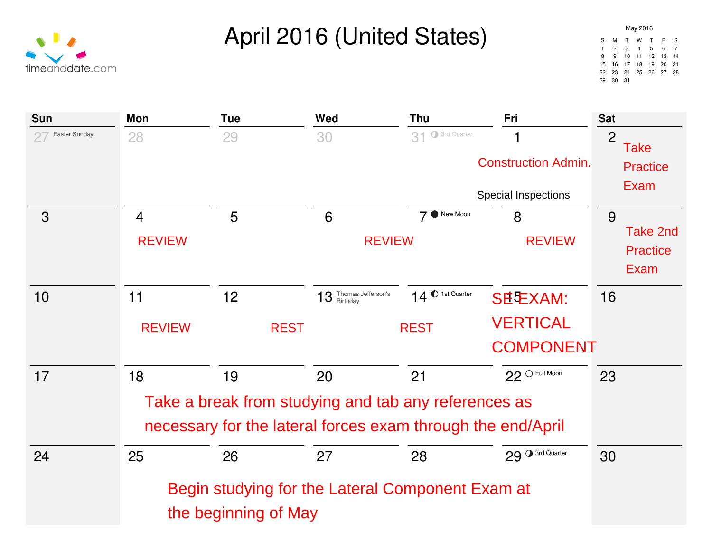#### April 2016 (United States)

|    | May 2016       |             |       |          |    |    |  |  |
|----|----------------|-------------|-------|----------|----|----|--|--|
| S  | м              | т.          | w     | T        | F  | S  |  |  |
| 1  | $\mathfrak{p}$ | 3           | 4     | 5        | 6  | 7  |  |  |
| 8  | 9              | 10          |       | 11 12 13 |    | 14 |  |  |
| 15 | 16             |             | 17 18 | 19       | 20 | 21 |  |  |
| 22 | 23             | 24 25 26 27 |       |          |    | 28 |  |  |
| 29 | 30             | 31          |       |          |    |    |  |  |

Take

Exam

**Practice** 

Take 2nd

**Practice** 

Exam



the beginning of May

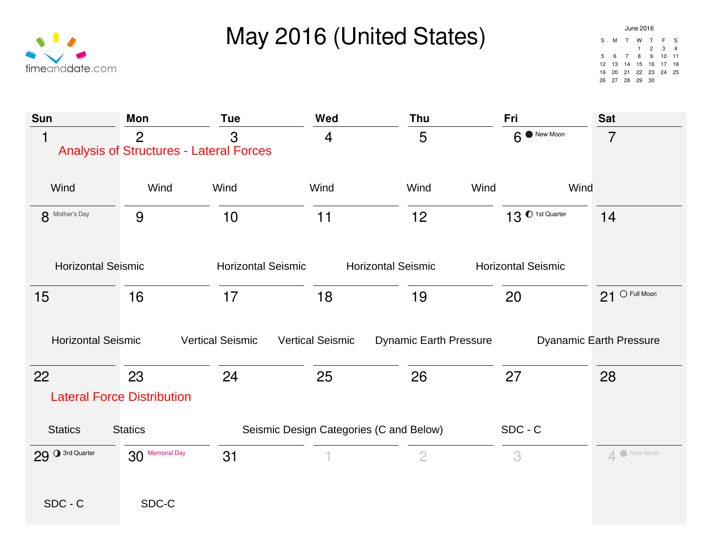### May 2016 (United States)



| Sun                       | <b>Mon</b>                                                       | <b>Tue</b>                | Wed                                     | <b>Thu</b>                    | Fri                         | <b>Sat</b>                     |
|---------------------------|------------------------------------------------------------------|---------------------------|-----------------------------------------|-------------------------------|-----------------------------|--------------------------------|
| $\overline{\mathbf{1}}$   | $\overline{2}$<br><b>Analysis of Structures - Lateral Forces</b> | 3                         | $\overline{4}$                          | 5                             | $6$ New Moon                | $\overline{7}$                 |
| Wind                      | Wind                                                             | Wind                      | Wind                                    | Wind<br>Wind                  | Wind                        |                                |
| 8 Mother's Day            | 9                                                                | 10                        | 11                                      | 12                            | 13 <sup>0</sup> 1st Quarter | 14                             |
| <b>Horizontal Seismic</b> |                                                                  | <b>Horizontal Seismic</b> | <b>Horizontal Seismic</b>               |                               | <b>Horizontal Seismic</b>   |                                |
| 15                        | 16                                                               | 17                        | 18                                      | 19                            | 20                          | $21$ O Full Moon               |
| <b>Horizontal Seismic</b> |                                                                  | <b>Vertical Seismic</b>   | <b>Vertical Seismic</b>                 | <b>Dynamic Earth Pressure</b> |                             | <b>Dyanamic Earth Pressure</b> |
| 22                        | 23                                                               | 24                        | 25                                      | 26                            | 27                          | 28                             |
|                           | <b>Lateral Force Distribution</b>                                |                           |                                         |                               |                             |                                |
| <b>Statics</b>            | <b>Statics</b>                                                   |                           | Seismic Design Categories (C and Below) |                               | $SDC - C$                   |                                |
| 29 3rd Quarter            | 30 Memorial Day                                                  | 31                        |                                         | $\overline{2}$                | 3                           | 4 New Moon                     |
|                           |                                                                  |                           |                                         |                               |                             |                                |
| SDC - C                   | SDC-C                                                            |                           |                                         |                               |                             |                                |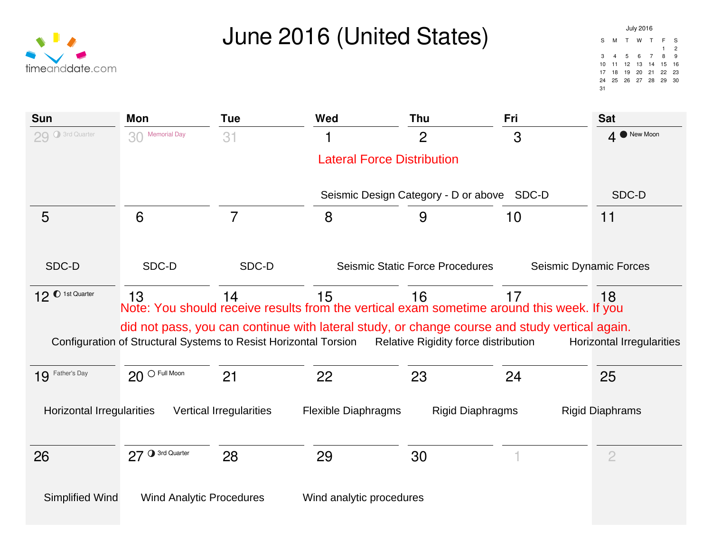### June 2016 (United States)

| <b>Sun</b>                       | <b>Mon</b>                                                       | <b>Tue</b>                     | Wed                                                                                           | <b>Thu</b>                                 | Fri                    | <b>Sat</b>                       |
|----------------------------------|------------------------------------------------------------------|--------------------------------|-----------------------------------------------------------------------------------------------|--------------------------------------------|------------------------|----------------------------------|
| 29 O 3rd Quarter                 | 30 Memorial Day                                                  | 31                             |                                                                                               | $\overline{2}$                             | 3                      | New Moon<br>$\overline{4}$       |
|                                  |                                                                  |                                | <b>Lateral Force Distribution</b>                                                             |                                            |                        |                                  |
|                                  |                                                                  |                                |                                                                                               | Seismic Design Category - D or above SDC-D |                        | SDC-D                            |
| 5                                | $6\phantom{1}6$                                                  | $\overline{7}$                 | 8                                                                                             | 9                                          | 10                     | 11                               |
|                                  |                                                                  |                                |                                                                                               |                                            |                        |                                  |
| SDC-D                            | SDC-D                                                            | SDC-D                          |                                                                                               | <b>Seismic Static Force Procedures</b>     | Seismic Dynamic Forces |                                  |
| 12 <sup>0</sup> 1st Quarter      | 13                                                               | 14                             | 15                                                                                            | 16                                         | 17                     | 18                               |
|                                  |                                                                  |                                | Note: You should receive results from the vertical exam sometime around this week. If you     |                                            |                        |                                  |
|                                  | Configuration of Structural Systems to Resist Horizontal Torsion |                                | did not pass, you can continue with lateral study, or change course and study vertical again. | Relative Rigidity force distribution       |                        | <b>Horizontal Irregularities</b> |
| 19 Father's Day                  | $20$ O Full Moon                                                 | 21                             | 22                                                                                            | 23                                         | 24                     | 25                               |
| <b>Horizontal Irregularities</b> |                                                                  | <b>Vertical Irregularities</b> | <b>Flexible Diaphragms</b>                                                                    | <b>Rigid Diaphragms</b>                    |                        | <b>Rigid Diaphrams</b>           |
| 26                               | 27 O 3rd Quarter                                                 | 28                             | 29                                                                                            | 30                                         |                        | $\overline{2}$                   |
|                                  |                                                                  |                                |                                                                                               |                                            |                        |                                  |
| Simplified Wind                  | <b>Wind Analytic Procedures</b>                                  |                                | Wind analytic procedures                                                                      |                                            |                        |                                  |

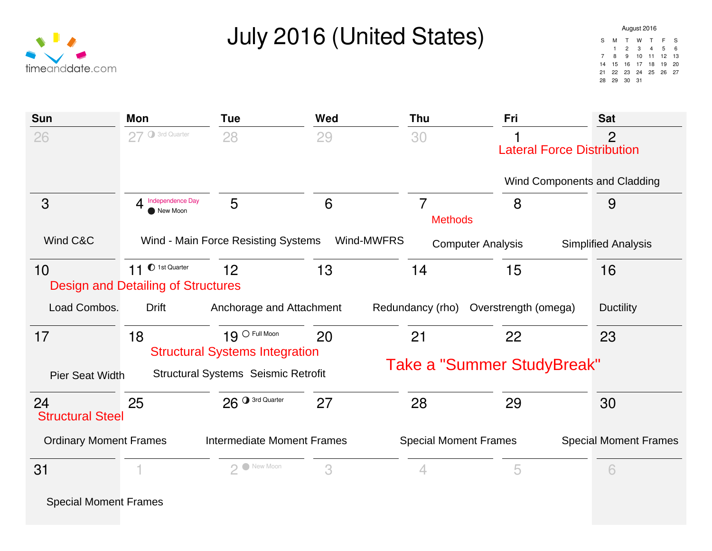## July 2016 (United States)

| <b>Sun</b>                    | Mon                                                           | <b>Tue</b>                                                | Wed        | Thu                              | Fri                  | <b>Sat</b>                                          |
|-------------------------------|---------------------------------------------------------------|-----------------------------------------------------------|------------|----------------------------------|----------------------|-----------------------------------------------------|
| 26                            | 27 O 3rd Quarter                                              | 28                                                        | 29         | 30                               |                      | $\overline{2}$<br><b>Lateral Force Distribution</b> |
|                               |                                                               |                                                           |            |                                  |                      | Wind Components and Cladding                        |
| 3                             | Independence Day<br>4<br>New Moon                             | 5                                                         | 6          | $\overline{7}$<br><b>Methods</b> | 8                    | 9                                                   |
| Wind C&C                      |                                                               | Wind - Main Force Resisting Systems                       | Wind-MWFRS | <b>Computer Analysis</b>         |                      | <b>Simplified Analysis</b>                          |
| 10                            | 11 O 1st Quarter<br><b>Design and Detailing of Structures</b> | 12                                                        | 13         | 14                               | 15                   | 16                                                  |
| Load Combos.                  | <b>Drift</b>                                                  | Anchorage and Attachment                                  |            | Redundancy (rho)                 | Overstrength (omega) | <b>Ductility</b>                                    |
| 17                            | 18                                                            | $19$ O Full Moon<br><b>Structural Systems Integration</b> | 20         | 21                               | 22                   | 23                                                  |
| <b>Pier Seat Width</b>        |                                                               | <b>Structural Systems Seismic Retrofit</b>                |            | Take a "Summer StudyBreak"       |                      |                                                     |
| 24<br><b>Structural Steel</b> | 25                                                            | 26 <sup>0</sup> 3rd Quarter                               | 27         | 28                               | 29                   | 30                                                  |
| <b>Ordinary Moment Frames</b> |                                                               | <b>Intermediate Moment Frames</b>                         |            | <b>Special Moment Frames</b>     |                      | <b>Special Moment Frames</b>                        |
| 31                            |                                                               | 2 New Moon                                                | 3          | 4                                | 5                    | 6                                                   |
| <b>Special Moment Frames</b>  |                                                               |                                                           |            |                                  |                      |                                                     |

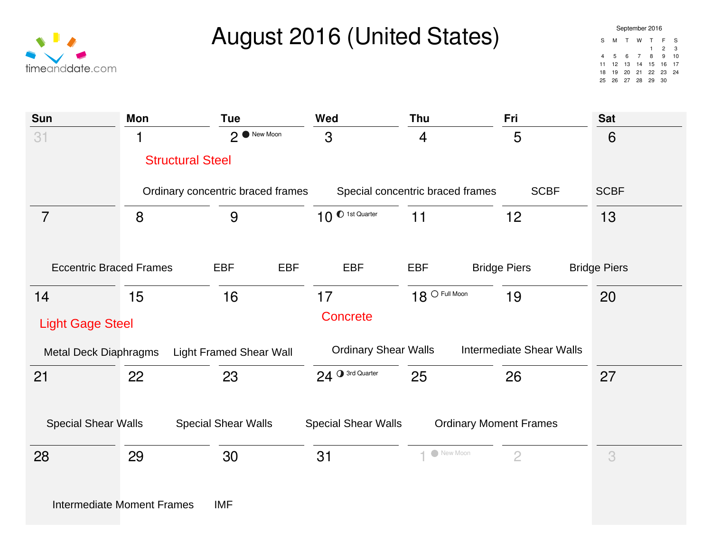

### August 2016 (United States)

| <b>Sun</b>                     | Mon                               | <b>Tue</b>                        | Wed                         | <b>Thu</b>                       | Fri                             | <b>Sat</b>          |
|--------------------------------|-----------------------------------|-----------------------------------|-----------------------------|----------------------------------|---------------------------------|---------------------|
| 31                             |                                   | $2^{\binom{5}{2}}$ New Moon       | 3                           | 4                                | 5                               | 6                   |
|                                | <b>Structural Steel</b>           |                                   |                             |                                  |                                 |                     |
|                                |                                   | Ordinary concentric braced frames |                             | Special concentric braced frames | <b>SCBF</b>                     | <b>SCBF</b>         |
| $\overline{7}$                 | 8                                 | 9                                 | 10 <sup>0</sup> 1st Quarter | 11                               | 12                              | 13                  |
|                                |                                   |                                   |                             |                                  |                                 |                     |
| <b>Eccentric Braced Frames</b> |                                   | <b>EBF</b><br><b>EBF</b>          | <b>EBF</b>                  | EBF                              | <b>Bridge Piers</b>             | <b>Bridge Piers</b> |
| 14                             | 15                                | 16                                | 17                          | $18^{\circ}$ Full Moon           | 19                              | 20                  |
| <b>Light Gage Steel</b>        |                                   |                                   | <b>Concrete</b>             |                                  |                                 |                     |
| <b>Metal Deck Diaphragms</b>   |                                   | <b>Light Framed Shear Wall</b>    | <b>Ordinary Shear Walls</b> |                                  | <b>Intermediate Shear Walls</b> |                     |
| 21                             | 22                                | 23                                | 24 O 3rd Quarter            | 25                               | 26                              | 27                  |
| <b>Special Shear Walls</b>     |                                   | <b>Special Shear Walls</b>        | <b>Special Shear Walls</b>  | <b>Ordinary Moment Frames</b>    |                                 |                     |
| 28                             | 29                                | 30                                | 31                          | 1 New Moon                       | $\overline{2}$                  | 3                   |
|                                | <b>Intermediate Moment Frames</b> | <b>IMF</b>                        |                             |                                  |                                 |                     |
|                                |                                   |                                   |                             |                                  |                                 |                     |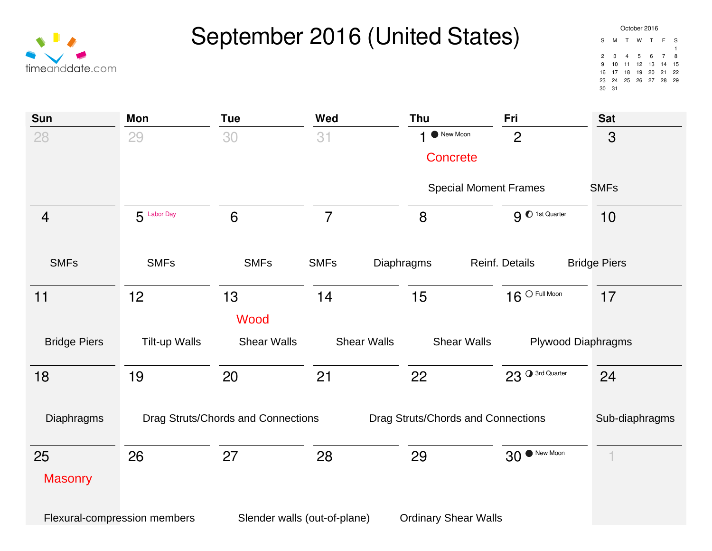

| October 2016 |              |     |   |                   |                |    |  |  |
|--------------|--------------|-----|---|-------------------|----------------|----|--|--|
| S            | м            | T   | w | T                 | - F            | S  |  |  |
|              |              |     |   |                   |                | 1  |  |  |
| 2            | $\mathbf{3}$ | 4 5 |   | 6                 | $\overline{7}$ | 8  |  |  |
| 9            | 10           |     |   | 11 12 13 14       |                | 15 |  |  |
| 16           |              |     |   | 17 18 19 20 21    |                | 22 |  |  |
| 23           |              |     |   | 24 25 26 27 28 29 |                |    |  |  |
| 30           | 31           |     |   |                   |                |    |  |  |

| Sun                 | Mon                          | <b>Tue</b>                         | Wed            | Thu                                      | Fri                          | <b>Sat</b>                |
|---------------------|------------------------------|------------------------------------|----------------|------------------------------------------|------------------------------|---------------------------|
| 28                  | 29                           | 30                                 | 31             | New Moon                                 | $\overline{2}$               | 3                         |
|                     |                              |                                    |                | <b>Concrete</b>                          |                              |                           |
|                     |                              |                                    |                |                                          | <b>Special Moment Frames</b> | <b>SMFs</b>               |
| $\overline{4}$      | $5$ Labor Day                | 6                                  | $\overline{7}$ | 8                                        | 9 0 1st Quarter              | 10                        |
| <b>SMFs</b>         | <b>SMFs</b>                  | <b>SMFs</b>                        | <b>SMFs</b>    | Diaphragms                               | Reinf. Details               | <b>Bridge Piers</b>       |
| 11                  | 12                           | 13                                 | 14             | 15                                       | $16^{\circ}$ Full Moon       | 17                        |
|                     |                              | Wood                               |                |                                          |                              |                           |
| <b>Bridge Piers</b> | <b>Tilt-up Walls</b>         | <b>Shear Walls</b>                 |                | <b>Shear Walls</b><br><b>Shear Walls</b> |                              | <b>Plywood Diaphragms</b> |
| 18                  | 19                           | 20                                 | 21             | 22                                       | 23 O 3rd Quarter             | 24                        |
| Diaphragms          |                              | Drag Struts/Chords and Connections |                | Drag Struts/Chords and Connections       |                              | Sub-diaphragms            |
| 25                  | 26                           | 27                                 | 28             | 29                                       | 30 <sup>. New Moon</sup>     |                           |
| <b>Masonry</b>      |                              |                                    |                |                                          |                              |                           |
|                     | Flexural-compression members | Slender walls (out-of-plane)       |                | <b>Ordinary Shear Walls</b>              |                              |                           |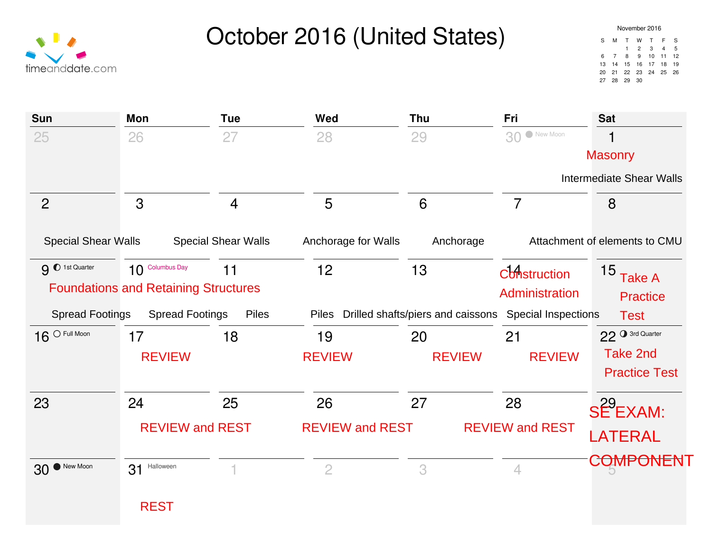# October 2016 (United States)

| November 2016 |    |                    |                |        |   |    |  |  |
|---------------|----|--------------------|----------------|--------|---|----|--|--|
| S             | м  | т                  | w              | т      | F | S  |  |  |
|               |    | 1.                 | $\overline{2}$ | 3      | 4 | 5  |  |  |
| 6             | -7 | 8                  | 9              | 10, 11 |   | 12 |  |  |
| 13            |    | 14  15  16  17  18 |                |        |   | 19 |  |  |
| 20            | 21 | 22 23 24 25 26     |                |        |   |    |  |  |
| 27            | 28 | - 29               | 30             |        |   |    |  |  |

| timeanddate.com |
|-----------------|

| Sun                        | <b>Mon</b>                                  | <b>Tue</b>                 | Wed                    | Thu                               | Fri                        | <b>Sat</b>                      |
|----------------------------|---------------------------------------------|----------------------------|------------------------|-----------------------------------|----------------------------|---------------------------------|
| 25                         | 26                                          | 27                         | 28                     | 29                                | 30 New Moon                | 1                               |
|                            |                                             |                            |                        |                                   |                            | <b>Masonry</b>                  |
|                            |                                             |                            |                        |                                   |                            | <b>Intermediate Shear Walls</b> |
| $\overline{2}$             | 3                                           | $\overline{4}$             | 5                      | 6                                 | $\overline{7}$             | 8                               |
| <b>Special Shear Walls</b> |                                             | <b>Special Shear Walls</b> | Anchorage for Walls    | Anchorage                         |                            | Attachment of elements to CMU   |
| 9 0 1st Quarter            | 10 Columbus Day                             | 11                         | 12                     | 13                                | <b>Construction</b>        | 15 Take A                       |
|                            | <b>Foundations and Retaining Structures</b> |                            |                        |                                   | Administration             | <b>Practice</b>                 |
| <b>Spread Footings</b>     | <b>Spread Footings</b>                      | <b>Piles</b>               | <b>Piles</b>           | Drilled shafts/piers and caissons | <b>Special Inspections</b> | <b>Test</b>                     |
| $16^{\circ}$ Full Moon     | 17                                          | 18                         | 19                     | 20                                | 21                         | 22 <sup>3rd Quarter</sup>       |
|                            | <b>REVIEW</b>                               |                            | <b>REVIEW</b>          | <b>REVIEW</b>                     | <b>REVIEW</b>              | Take 2nd                        |
|                            |                                             |                            |                        |                                   |                            | <b>Practice Test</b>            |
| 23                         | 24                                          | 25                         | 26                     | 27                                | 28                         | SE <sup>29</sup> EXAM:          |
|                            | <b>REVIEW and REST</b>                      |                            | <b>REVIEW and REST</b> |                                   | <b>REVIEW and REST</b>     |                                 |
|                            |                                             |                            |                        |                                   |                            | <b>LATERAL</b>                  |
| New Moon<br>30             | Halloween<br>31                             |                            | $\overline{2}$         | 3                                 | 4                          | COMPONENT                       |
|                            |                                             |                            |                        |                                   |                            |                                 |
|                            | <b>REST</b>                                 |                            |                        |                                   |                            |                                 |
|                            |                                             |                            |                        |                                   |                            |                                 |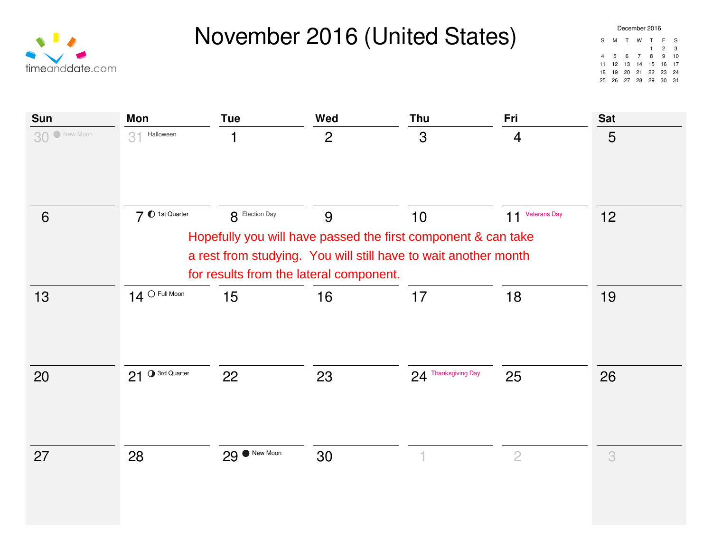



| December 2016 |             |             |     |                   |                |      |  |
|---------------|-------------|-------------|-----|-------------------|----------------|------|--|
| S             | м           | T           | w   | T                 | F              | S    |  |
|               |             |             |     | $\mathbf{1}$      | $\overline{2}$ | 3    |  |
| 4             | $5^{\circ}$ |             | 6 7 | 8                 | 9              | 10   |  |
| 11            |             |             |     | 12 13 14 15 16 17 |                |      |  |
| 18            |             |             |     | 19 20 21 22 23    |                | 24   |  |
| 25            |             | 26 27 28 29 |     |                   | 30             | - 31 |  |

| Sun         | Mon                      | <b>Tue</b>                              | Wed                                                                                                                              | <b>Thu</b>          | Fri             | <b>Sat</b> |
|-------------|--------------------------|-----------------------------------------|----------------------------------------------------------------------------------------------------------------------------------|---------------------|-----------------|------------|
| 30 New Moon | 3 <sup>1</sup> Halloween | 1                                       | $\overline{2}$                                                                                                                   | 3                   | $\overline{4}$  | 5          |
| 6           | 7 0 1st Quarter          | 8 Election Day                          | 9                                                                                                                                | 10                  | 11 Veterans Day | 12         |
|             |                          | for results from the lateral component. | Hopefully you will have passed the first component & can take<br>a rest from studying. You will still have to wait another month |                     |                 |            |
| 13          | $14$ O Full Moon         | 15                                      | 16                                                                                                                               | 17                  | 18              | 19         |
| 20          | 21 O 3rd Quarter         | 22                                      | 23                                                                                                                               | 24 Thanksgiving Day | 25              | 26         |
| 27          | 28                       | 29 Wew Moon                             | 30                                                                                                                               | 1                   | $\overline{2}$  | 3          |